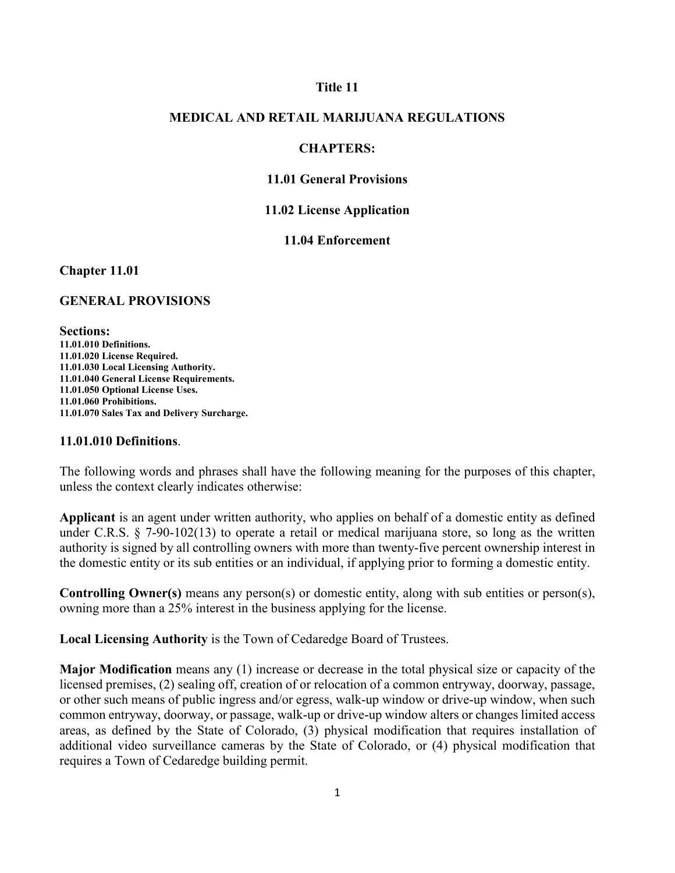#### **Title 11**

## **MEDICAL AND RETAIL MARIJUANA REGULATIONS**

## **CHAPTERS:**

### **11.01 General Provisions**

#### **11.02 License Application**

### **11.04 Enforcement**

**Chapter 11.01**

#### **GENERAL PROVISIONS**

**Sections: 11.01.010 Definitions. 11.01.020 License Required. 11.01.030 Local Licensing Authority. 11.01.040 General License Requirements. 11.01.050 Optional License Uses. 11.01.060 Prohibitions. 11.01.070 Sales Tax and Delivery Surcharge.**

## **11.01.010 Definitions**.

The following words and phrases shall have the following meaning for the purposes of this chapter, unless the context clearly indicates otherwise:

**Applicant** is an agent under written authority, who applies on behalf of a domestic entity as defined under C.R.S. § 7-90-102(13) to operate a retail or medical marijuana store, so long as the written authority is signed by all controlling owners with more than twenty-five percent ownership interest in the domestic entity or its sub entities or an individual, if applying prior to forming a domestic entity.

**Controlling Owner(s)** means any person(s) or domestic entity, along with sub entities or person(s), owning more than a 25% interest in the business applying for the license.

**Local Licensing Authority** is the Town of Cedaredge Board of Trustees.

**Major Modification** means any (1) increase or decrease in the total physical size or capacity of the licensed premises, (2) sealing off, creation of or relocation of a common entryway, doorway, passage, or other such means of public ingress and/or egress, walk-up window or drive-up window, when such common entryway, doorway, or passage, walk-up or drive-up window alters or changes limited access areas, as defined by the State of Colorado, (3) physical modification that requires installation of additional video surveillance cameras by the State of Colorado, or (4) physical modification that requires a Town of Cedaredge building permit.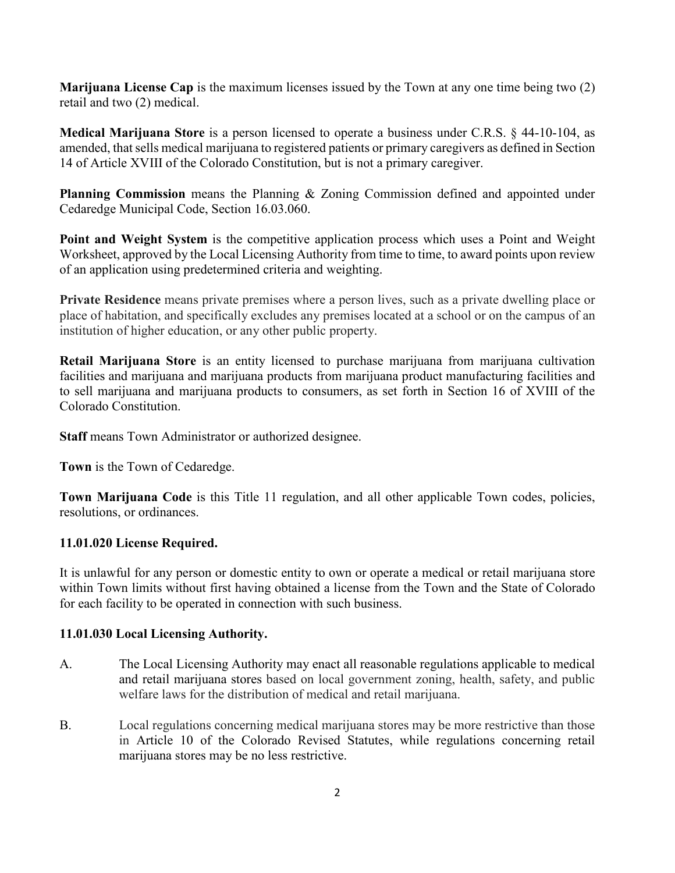**Marijuana License Cap** is the maximum licenses issued by the Town at any one time being two (2) retail and two (2) medical.

**Medical Marijuana Store** is a person licensed to operate a business under C.R.S. § 44-10-104, as amended, that sells medical marijuana to registered patients or primary caregivers as defined in Section 14 of Article XVIII of the Colorado Constitution, but is not a primary caregiver.

**Planning Commission** means the Planning & Zoning Commission defined and appointed under Cedaredge Municipal Code, Section 16.03.060.

**Point and Weight System** is the competitive application process which uses a Point and Weight Worksheet, approved by the Local Licensing Authority from time to time, to award points upon review of an application using predetermined criteria and weighting.

**Private Residence** means private premises where a person lives, such as a private dwelling place or place of habitation, and specifically excludes any premises located at a school or on the campus of an institution of higher education, or any other public property.

**Retail Marijuana Store** is an entity licensed to purchase marijuana from marijuana cultivation facilities and marijuana and marijuana products from marijuana product manufacturing facilities and to sell marijuana and marijuana products to consumers, as set forth in Section 16 of XVIII of the Colorado Constitution.

**Staff** means Town Administrator or authorized designee.

**Town** is the Town of Cedaredge.

**Town Marijuana Code** is this Title 11 regulation, and all other applicable Town codes, policies, resolutions, or ordinances.

# **11.01.020 License Required.**

It is unlawful for any person or domestic entity to own or operate a medical or retail marijuana store within Town limits without first having obtained a license from the Town and the State of Colorado for each facility to be operated in connection with such business.

# **11.01.030 Local Licensing Authority.**

- A. The Local Licensing Authority may enact all reasonable regulations applicable to medical and retail marijuana stores based on local government zoning, health, safety, and public welfare laws for the distribution of medical and retail marijuana.
- B. Local regulations concerning medical marijuana stores may be more restrictive than those in Article 10 of the Colorado Revised Statutes, while regulations concerning retail marijuana stores may be no less restrictive.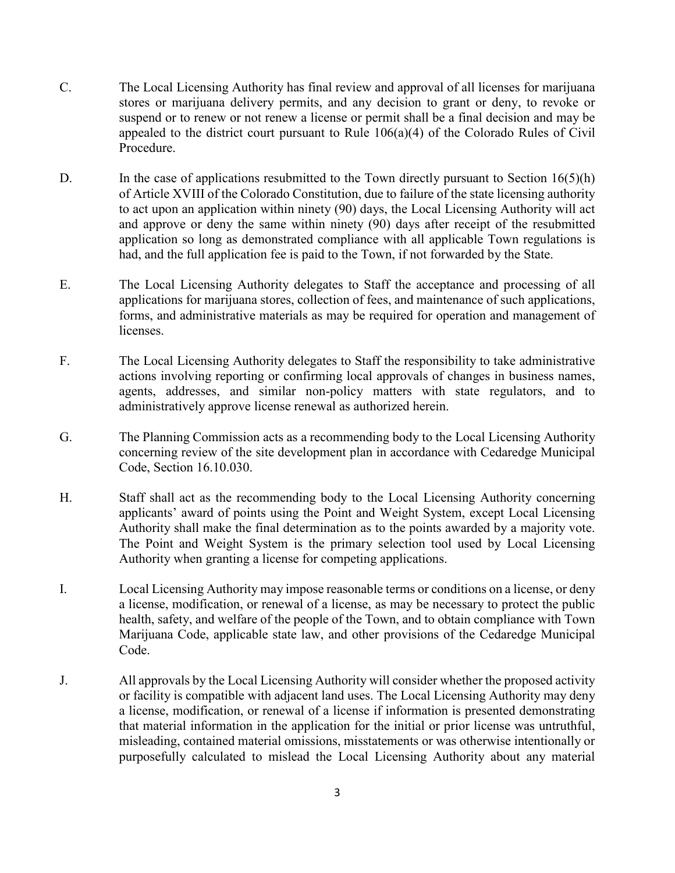- C. The Local Licensing Authority has final review and approval of all licenses for marijuana stores or marijuana delivery permits, and any decision to grant or deny, to revoke or suspend or to renew or not renew a license or permit shall be a final decision and may be appealed to the district court pursuant to Rule 106(a)(4) of the Colorado Rules of Civil Procedure.
- D. In the case of applications resubmitted to the Town directly pursuant to Section  $16(5)(h)$ of Article XVIII of the Colorado Constitution, due to failure of the state licensing authority to act upon an application within ninety (90) days, the Local Licensing Authority will act and approve or deny the same within ninety (90) days after receipt of the resubmitted application so long as demonstrated compliance with all applicable Town regulations is had, and the full application fee is paid to the Town, if not forwarded by the State.
- E. The Local Licensing Authority delegates to Staff the acceptance and processing of all applications for marijuana stores, collection of fees, and maintenance of such applications, forms, and administrative materials as may be required for operation and management of licenses.
- F. The Local Licensing Authority delegates to Staff the responsibility to take administrative actions involving reporting or confirming local approvals of changes in business names, agents, addresses, and similar non-policy matters with state regulators, and to administratively approve license renewal as authorized herein.
- G. The Planning Commission acts as a recommending body to the Local Licensing Authority concerning review of the site development plan in accordance with Cedaredge Municipal Code, Section 16.10.030.
- H. Staff shall act as the recommending body to the Local Licensing Authority concerning applicants' award of points using the Point and Weight System, except Local Licensing Authority shall make the final determination as to the points awarded by a majority vote. The Point and Weight System is the primary selection tool used by Local Licensing Authority when granting a license for competing applications.
- I. Local Licensing Authority may impose reasonable terms or conditions on a license, or deny a license, modification, or renewal of a license, as may be necessary to protect the public health, safety, and welfare of the people of the Town, and to obtain compliance with Town Marijuana Code, applicable state law, and other provisions of the Cedaredge Municipal Code.
- J. All approvals by the Local Licensing Authority will consider whether the proposed activity or facility is compatible with adjacent land uses. The Local Licensing Authority may deny a license, modification, or renewal of a license if information is presented demonstrating that material information in the application for the initial or prior license was untruthful, misleading, contained material omissions, misstatements or was otherwise intentionally or purposefully calculated to mislead the Local Licensing Authority about any material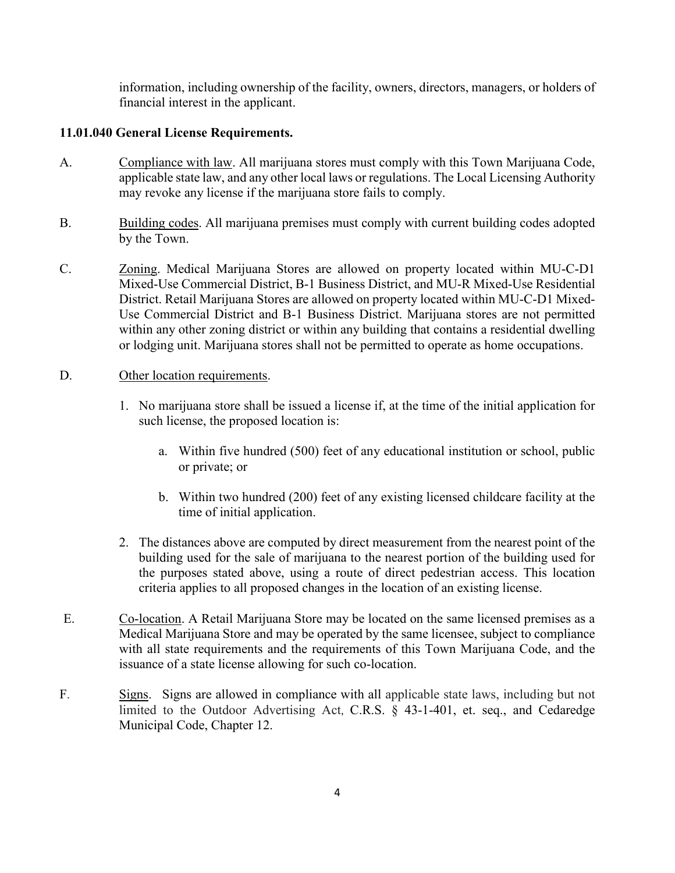information, including ownership of the facility, owners, directors, managers, or holders of financial interest in the applicant.

# **11.01.040 General License Requirements.**

- A. Compliance with law. All marijuana stores must comply with this Town Marijuana Code, applicable state law, and any other local laws or regulations. The Local Licensing Authority may revoke any license if the marijuana store fails to comply.
- B. Building codes. All marijuana premises must comply with current building codes adopted by the Town.
- C. Zoning. Medical Marijuana Stores are allowed on property located within MU-C-D1 Mixed-Use Commercial District, B-1 Business District, and MU-R Mixed-Use Residential District. Retail Marijuana Stores are allowed on property located within MU-C-D1 Mixed-Use Commercial District and B-1 Business District. Marijuana stores are not permitted within any other zoning district or within any building that contains a residential dwelling or lodging unit. Marijuana stores shall not be permitted to operate as home occupations.

# D. Other location requirements.

- 1. No marijuana store shall be issued a license if, at the time of the initial application for such license, the proposed location is:
	- a. Within five hundred (500) feet of any educational institution or school, public or private; or
	- b. Within two hundred (200) feet of any existing licensed childcare facility at the time of initial application.
- 2. The distances above are computed by direct measurement from the nearest point of the building used for the sale of marijuana to the nearest portion of the building used for the purposes stated above, using a route of direct pedestrian access. This location criteria applies to all proposed changes in the location of an existing license.
- E. Co-location. A Retail Marijuana Store may be located on the same licensed premises as a Medical Marijuana Store and may be operated by the same licensee, subject to compliance with all state requirements and the requirements of this Town Marijuana Code, and the issuance of a state license allowing for such co-location.
- F. Signs. Signs are allowed in compliance with all applicable state laws, including but not limited to the Outdoor Advertising Act, C.R.S. § 43-1-401, et. seq., and Cedaredge Municipal Code, Chapter 12.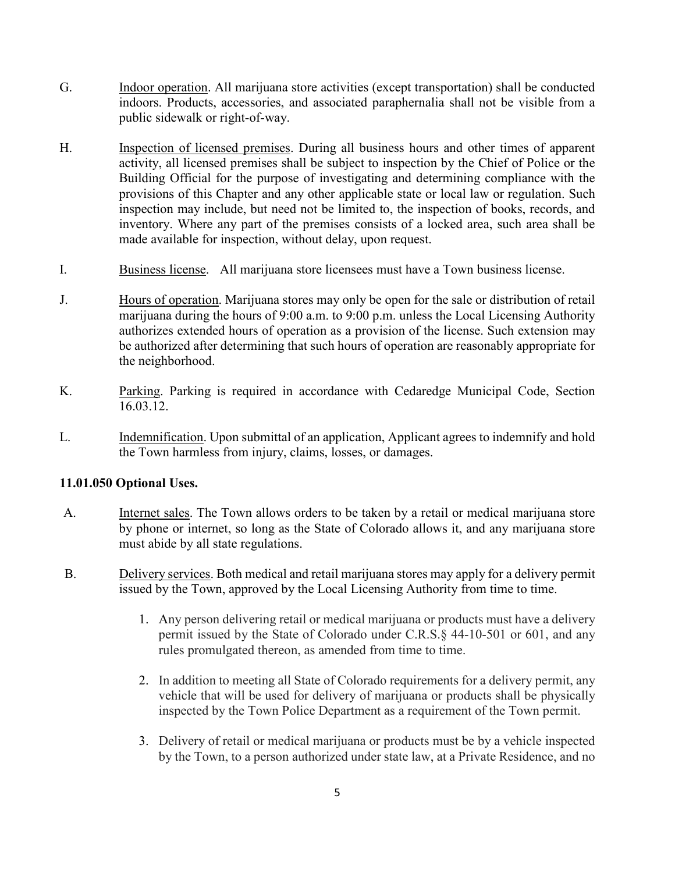- G. Indoor operation. All marijuana store activities (except transportation) shall be conducted indoors. Products, accessories, and associated paraphernalia shall not be visible from a public sidewalk or right-of-way.
- H. Inspection of licensed premises. During all business hours and other times of apparent activity, all licensed premises shall be subject to inspection by the Chief of Police or the Building Official for the purpose of investigating and determining compliance with the provisions of this Chapter and any other applicable state or local law or regulation. Such inspection may include, but need not be limited to, the inspection of books, records, and inventory. Where any part of the premises consists of a locked area, such area shall be made available for inspection, without delay, upon request.
- I. Business license. All marijuana store licensees must have a Town business license.
- J. Hours of operation. Marijuana stores may only be open for the sale or distribution of retail marijuana during the hours of 9:00 a.m. to 9:00 p.m. unless the Local Licensing Authority authorizes extended hours of operation as a provision of the license. Such extension may be authorized after determining that such hours of operation are reasonably appropriate for the neighborhood.
- K. Parking. Parking is required in accordance with Cedaredge Municipal Code, Section 16.03.12.
- L. Indemnification. Upon submittal of an application, Applicant agrees to indemnify and hold the Town harmless from injury, claims, losses, or damages.

# **11.01.050 Optional Uses.**

- A. Internet sales. The Town allows orders to be taken by a retail or medical marijuana store by phone or internet, so long as the State of Colorado allows it, and any marijuana store must abide by all state regulations.
- B. Delivery services. Both medical and retail marijuana stores may apply for a delivery permit issued by the Town, approved by the Local Licensing Authority from time to time.
	- 1. Any person delivering retail or medical marijuana or products must have a delivery permit issued by the State of Colorado under C.R.S.§ 44-10-501 or 601, and any rules promulgated thereon, as amended from time to time.
	- 2. In addition to meeting all State of Colorado requirements for a delivery permit, any vehicle that will be used for delivery of marijuana or products shall be physically inspected by the Town Police Department as a requirement of the Town permit.
	- 3. Delivery of retail or medical marijuana or products must be by a vehicle inspected by the Town, to a person authorized under state law, at a Private Residence, and no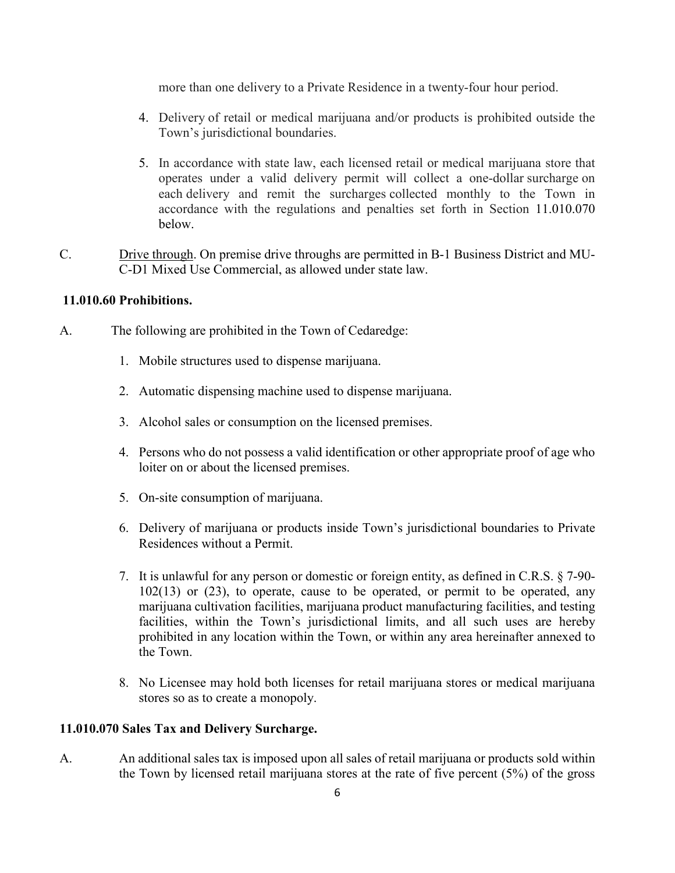more than one delivery to a Private Residence in a twenty-four hour period.

- 4. Delivery of retail or medical marijuana and/or products is prohibited outside the Town's jurisdictional boundaries.
- 5. In accordance with state law, each licensed retail or medical marijuana store that operates under a valid delivery permit will collect a one-dollar surcharge on each delivery and remit the surcharges collected monthly to the Town in accordance with the regulations and penalties set forth in Section 11.010.070 below.
- C. Drive through. On premise drive throughs are permitted in B-1 Business District and MU-C-D1 Mixed Use Commercial, as allowed under state law.

## **11.010.60 Prohibitions.**

- A. The following are prohibited in the Town of Cedaredge:
	- 1. Mobile structures used to dispense marijuana.
	- 2. Automatic dispensing machine used to dispense marijuana.
	- 3. Alcohol sales or consumption on the licensed premises.
	- 4. Persons who do not possess a valid identification or other appropriate proof of age who loiter on or about the licensed premises.
	- 5. On-site consumption of marijuana.
	- 6. Delivery of marijuana or products inside Town's jurisdictional boundaries to Private Residences without a Permit.
	- 7. It is unlawful for any person or domestic or foreign entity, as defined in C.R.S. § 7-90-  $102(13)$  or  $(23)$ , to operate, cause to be operated, or permit to be operated, any marijuana cultivation facilities, marijuana product manufacturing facilities, and testing facilities, within the Town's jurisdictional limits, and all such uses are hereby prohibited in any location within the Town, or within any area hereinafter annexed to the Town.
	- 8. No Licensee may hold both licenses for retail marijuana stores or medical marijuana stores so as to create a monopoly.

## **11.010.070 Sales Tax and Delivery Surcharge.**

A. An additional sales tax is imposed upon all sales of retail marijuana or products sold within the Town by licensed retail marijuana stores at the rate of five percent (5%) of the gross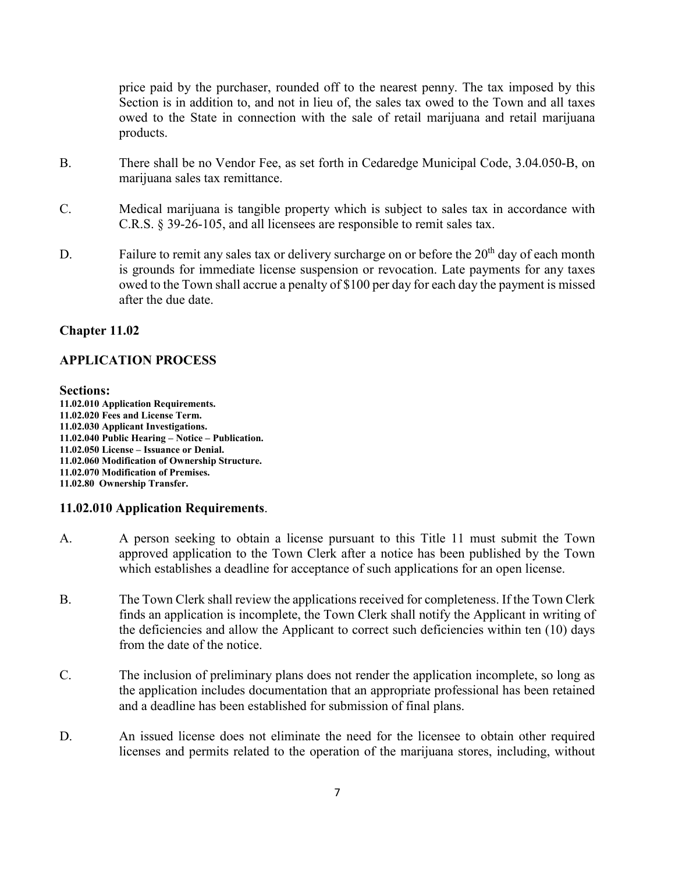price paid by the purchaser, rounded off to the nearest penny. The tax imposed by this Section is in addition to, and not in lieu of, the sales tax owed to the Town and all taxes owed to the State in connection with the sale of retail marijuana and retail marijuana products.

- B. There shall be no Vendor Fee, as set forth in Cedaredge Municipal Code, 3.04.050-B, on marijuana sales tax remittance.
- C. Medical marijuana is tangible property which is subject to sales tax in accordance with C.R.S. § 39-26-105, and all licensees are responsible to remit sales tax.
- D. Failure to remit any sales tax or delivery surcharge on or before the  $20<sup>th</sup>$  day of each month is grounds for immediate license suspension or revocation. Late payments for any taxes owed to the Town shall accrue a penalty of \$100 per day for each day the payment is missed after the due date.

# **Chapter 11.02**

## **APPLICATION PROCESS**

#### **Sections:**

**11.02.010 Application Requirements. 11.02.020 Fees and License Term. 11.02.030 Applicant Investigations. 11.02.040 Public Hearing – Notice – Publication. 11.02.050 License – Issuance or Denial. 11.02.060 Modification of Ownership Structure. 11.02.070 Modification of Premises. 11.02.80 Ownership Transfer.**

## **11.02.010 Application Requirements**.

- A. A person seeking to obtain a license pursuant to this Title 11 must submit the Town approved application to the Town Clerk after a notice has been published by the Town which establishes a deadline for acceptance of such applications for an open license.
- B. The Town Clerk shall review the applications received for completeness. If the Town Clerk finds an application is incomplete, the Town Clerk shall notify the Applicant in writing of the deficiencies and allow the Applicant to correct such deficiencies within ten (10) days from the date of the notice.
- C. The inclusion of preliminary plans does not render the application incomplete, so long as the application includes documentation that an appropriate professional has been retained and a deadline has been established for submission of final plans.
- D. An issued license does not eliminate the need for the licensee to obtain other required licenses and permits related to the operation of the marijuana stores, including, without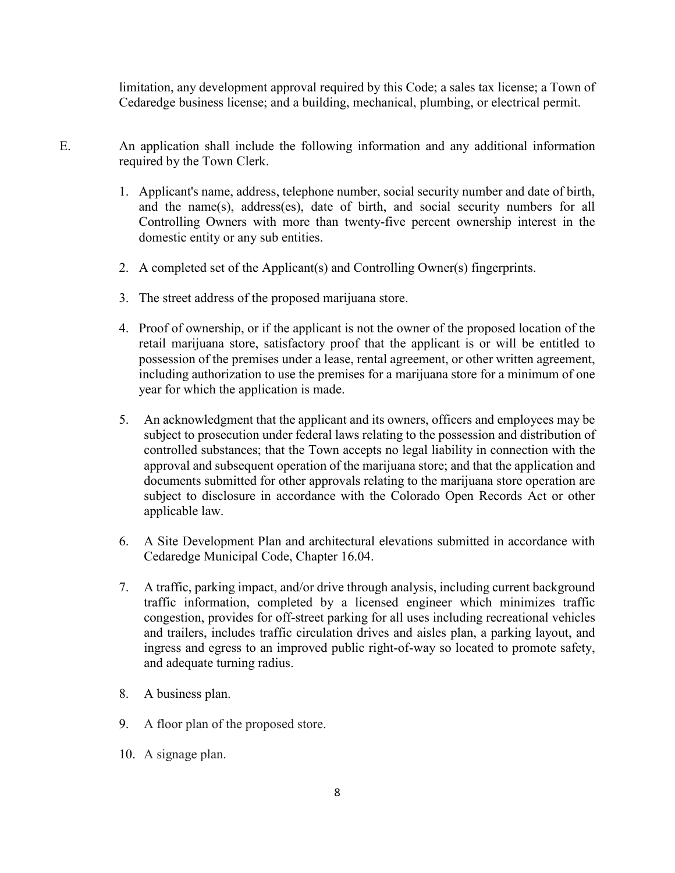limitation, any development approval required by this Code; a sales tax license; a Town of Cedaredge business license; and a building, mechanical, plumbing, or electrical permit.

- E. An application shall include the following information and any additional information required by the Town Clerk.
	- 1. Applicant's name, address, telephone number, social security number and date of birth, and the name(s), address(es), date of birth, and social security numbers for all Controlling Owners with more than twenty-five percent ownership interest in the domestic entity or any sub entities.
	- 2. A completed set of the Applicant(s) and Controlling Owner(s) fingerprints.
	- 3. The street address of the proposed marijuana store.
	- 4. Proof of ownership, or if the applicant is not the owner of the proposed location of the retail marijuana store, satisfactory proof that the applicant is or will be entitled to possession of the premises under a lease, rental agreement, or other written agreement, including authorization to use the premises for a marijuana store for a minimum of one year for which the application is made.
	- 5. An acknowledgment that the applicant and its owners, officers and employees may be subject to prosecution under federal laws relating to the possession and distribution of controlled substances; that the Town accepts no legal liability in connection with the approval and subsequent operation of the marijuana store; and that the application and documents submitted for other approvals relating to the marijuana store operation are subject to disclosure in accordance with the Colorado Open Records Act or other applicable law.
	- 6. A Site Development Plan and architectural elevations submitted in accordance with Cedaredge Municipal Code, Chapter 16.04.
	- 7. A traffic, parking impact, and/or drive through analysis, including current background traffic information, completed by a licensed engineer which minimizes traffic congestion, provides for off-street parking for all uses including recreational vehicles and trailers, includes traffic circulation drives and aisles plan, a parking layout, and ingress and egress to an improved public right-of-way so located to promote safety, and adequate turning radius.
	- 8. A business plan.
	- 9. A floor plan of the proposed store.
	- 10. A signage plan.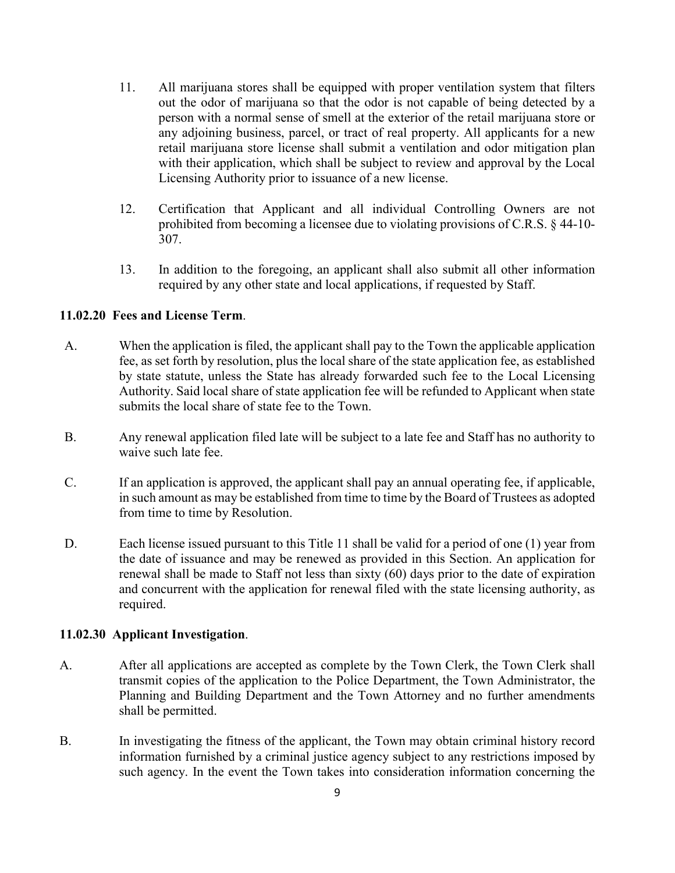- 11. All marijuana stores shall be equipped with proper ventilation system that filters out the odor of marijuana so that the odor is not capable of being detected by a person with a normal sense of smell at the exterior of the retail marijuana store or any adjoining business, parcel, or tract of real property. All applicants for a new retail marijuana store license shall submit a ventilation and odor mitigation plan with their application, which shall be subject to review and approval by the Local Licensing Authority prior to issuance of a new license.
- 12. Certification that Applicant and all individual Controlling Owners are not prohibited from becoming a licensee due to violating provisions of C.R.S. § 44-10- 307.
- 13. In addition to the foregoing, an applicant shall also submit all other information required by any other state and local applications, if requested by Staff.

# **11.02.20 Fees and License Term**.

- A. When the application is filed, the applicant shall pay to the Town the applicable application fee, as set forth by resolution, plus the local share of the state application fee, as established by state statute, unless the State has already forwarded such fee to the Local Licensing Authority. Said local share of state application fee will be refunded to Applicant when state submits the local share of state fee to the Town.
- B. Any renewal application filed late will be subject to a late fee and Staff has no authority to waive such late fee.
- C. If an application is approved, the applicant shall pay an annual operating fee, if applicable, in such amount as may be established from time to time by the Board of Trustees as adopted from time to time by Resolution.
- D. Each license issued pursuant to this Title 11 shall be valid for a period of one (1) year from the date of issuance and may be renewed as provided in this Section. An application for renewal shall be made to Staff not less than sixty (60) days prior to the date of expiration and concurrent with the application for renewal filed with the state licensing authority, as required.

# **11.02.30 Applicant Investigation**.

- A. After all applications are accepted as complete by the Town Clerk, the Town Clerk shall transmit copies of the application to the Police Department, the Town Administrator, the Planning and Building Department and the Town Attorney and no further amendments shall be permitted.
- B. In investigating the fitness of the applicant, the Town may obtain criminal history record information furnished by a criminal justice agency subject to any restrictions imposed by such agency. In the event the Town takes into consideration information concerning the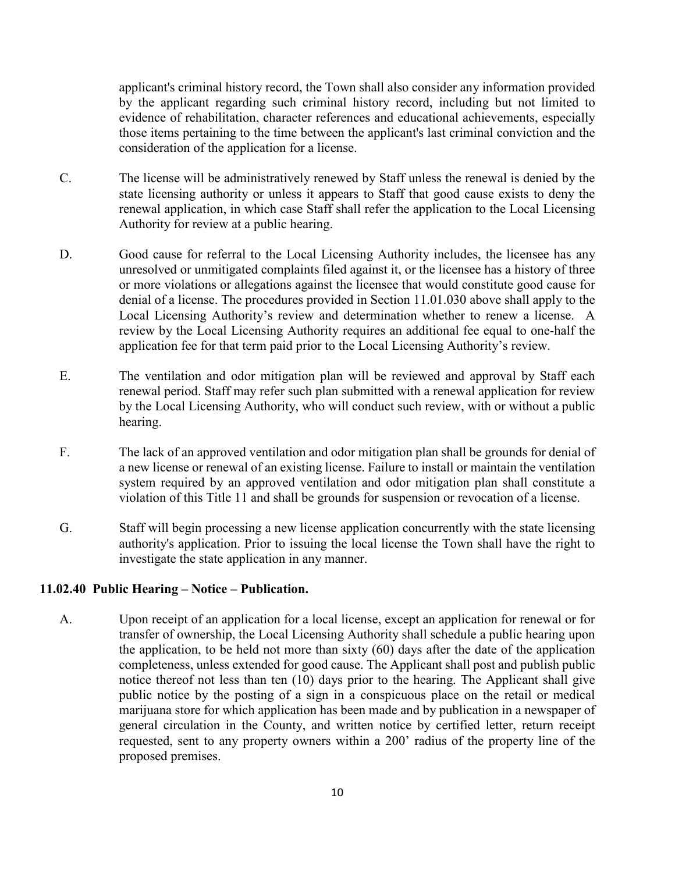applicant's criminal history record, the Town shall also consider any information provided by the applicant regarding such criminal history record, including but not limited to evidence of rehabilitation, character references and educational achievements, especially those items pertaining to the time between the applicant's last criminal conviction and the consideration of the application for a license.

- C. The license will be administratively renewed by Staff unless the renewal is denied by the state licensing authority or unless it appears to Staff that good cause exists to deny the renewal application, in which case Staff shall refer the application to the Local Licensing Authority for review at a public hearing.
- D. Good cause for referral to the Local Licensing Authority includes, the licensee has any unresolved or unmitigated complaints filed against it, or the licensee has a history of three or more violations or allegations against the licensee that would constitute good cause for denial of a license. The procedures provided in Section 11.01.030 above shall apply to the Local Licensing Authority's review and determination whether to renew a license. A review by the Local Licensing Authority requires an additional fee equal to one-half the application fee for that term paid prior to the Local Licensing Authority's review.
- E. The ventilation and odor mitigation plan will be reviewed and approval by Staff each renewal period. Staff may refer such plan submitted with a renewal application for review by the Local Licensing Authority, who will conduct such review, with or without a public hearing.
- F. The lack of an approved ventilation and odor mitigation plan shall be grounds for denial of a new license or renewal of an existing license. Failure to install or maintain the ventilation system required by an approved ventilation and odor mitigation plan shall constitute a violation of this Title 11 and shall be grounds for suspension or revocation of a license.
- G. Staff will begin processing a new license application concurrently with the state licensing authority's application. Prior to issuing the local license the Town shall have the right to investigate the state application in any manner.

# **11.02.40 Public Hearing – Notice – Publication.**

A. Upon receipt of an application for a local license, except an application for renewal or for transfer of ownership, the Local Licensing Authority shall schedule a public hearing upon the application, to be held not more than sixty (60) days after the date of the application completeness, unless extended for good cause. The Applicant shall post and publish public notice thereof not less than ten (10) days prior to the hearing. The Applicant shall give public notice by the posting of a sign in a conspicuous place on the retail or medical marijuana store for which application has been made and by publication in a newspaper of general circulation in the County, and written notice by certified letter, return receipt requested, sent to any property owners within a 200' radius of the property line of the proposed premises.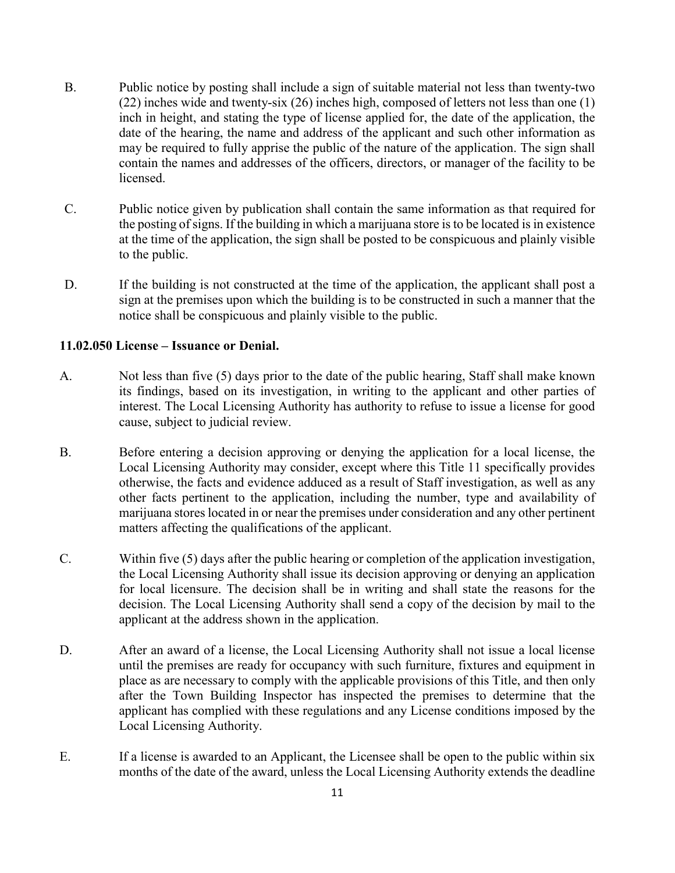- B. Public notice by posting shall include a sign of suitable material not less than twenty-two (22) inches wide and twenty-six (26) inches high, composed of letters not less than one (1) inch in height, and stating the type of license applied for, the date of the application, the date of the hearing, the name and address of the applicant and such other information as may be required to fully apprise the public of the nature of the application. The sign shall contain the names and addresses of the officers, directors, or manager of the facility to be licensed.
- C. Public notice given by publication shall contain the same information as that required for the posting of signs. If the building in which a marijuana store is to be located is in existence at the time of the application, the sign shall be posted to be conspicuous and plainly visible to the public.
- D. If the building is not constructed at the time of the application, the applicant shall post a sign at the premises upon which the building is to be constructed in such a manner that the notice shall be conspicuous and plainly visible to the public.

# **11.02.050 License – Issuance or Denial.**

- A. Not less than five (5) days prior to the date of the public hearing, Staff shall make known its findings, based on its investigation, in writing to the applicant and other parties of interest. The Local Licensing Authority has authority to refuse to issue a license for good cause, subject to judicial review.
- B. Before entering a decision approving or denying the application for a local license, the Local Licensing Authority may consider, except where this Title 11 specifically provides otherwise, the facts and evidence adduced as a result of Staff investigation, as well as any other facts pertinent to the application, including the number, type and availability of marijuana stores located in or near the premises under consideration and any other pertinent matters affecting the qualifications of the applicant.
- C. Within five (5) days after the public hearing or completion of the application investigation, the Local Licensing Authority shall issue its decision approving or denying an application for local licensure. The decision shall be in writing and shall state the reasons for the decision. The Local Licensing Authority shall send a copy of the decision by mail to the applicant at the address shown in the application.
- D. After an award of a license, the Local Licensing Authority shall not issue a local license until the premises are ready for occupancy with such furniture, fixtures and equipment in place as are necessary to comply with the applicable provisions of this Title, and then only after the Town Building Inspector has inspected the premises to determine that the applicant has complied with these regulations and any License conditions imposed by the Local Licensing Authority.
- E. If a license is awarded to an Applicant, the Licensee shall be open to the public within six months of the date of the award, unless the Local Licensing Authority extends the deadline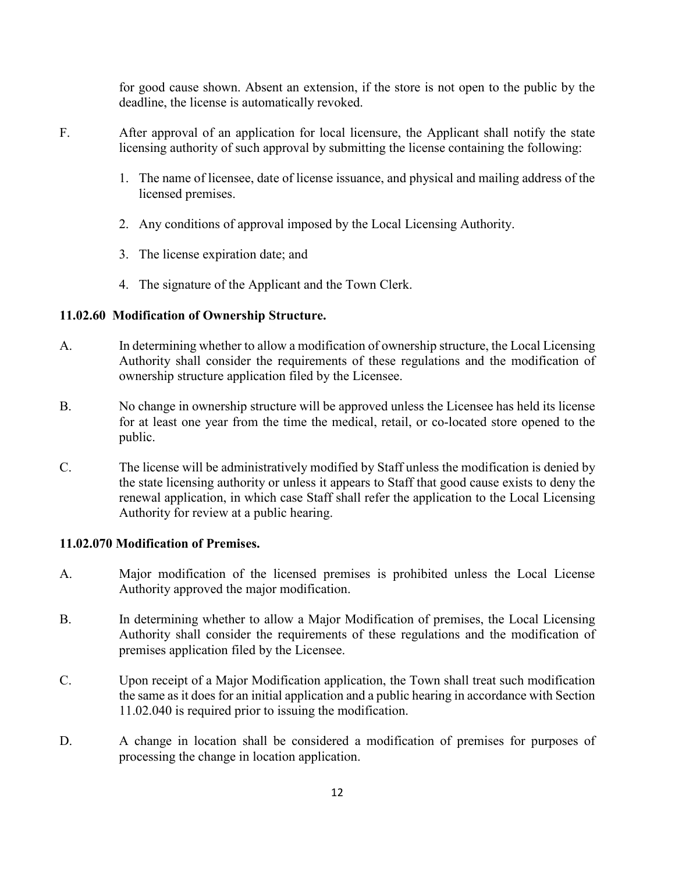for good cause shown. Absent an extension, if the store is not open to the public by the deadline, the license is automatically revoked.

- F. After approval of an application for local licensure, the Applicant shall notify the state licensing authority of such approval by submitting the license containing the following:
	- 1. The name of licensee, date of license issuance, and physical and mailing address of the licensed premises.
	- 2. Any conditions of approval imposed by the Local Licensing Authority.
	- 3. The license expiration date; and
	- 4. The signature of the Applicant and the Town Clerk.

# **11.02.60 Modification of Ownership Structure.**

- A. In determining whether to allow a modification of ownership structure, the Local Licensing Authority shall consider the requirements of these regulations and the modification of ownership structure application filed by the Licensee.
- B. No change in ownership structure will be approved unless the Licensee has held its license for at least one year from the time the medical, retail, or co-located store opened to the public.
- C. The license will be administratively modified by Staff unless the modification is denied by the state licensing authority or unless it appears to Staff that good cause exists to deny the renewal application, in which case Staff shall refer the application to the Local Licensing Authority for review at a public hearing.

# **11.02.070 Modification of Premises.**

- A. Major modification of the licensed premises is prohibited unless the Local License Authority approved the major modification.
- B. In determining whether to allow a Major Modification of premises, the Local Licensing Authority shall consider the requirements of these regulations and the modification of premises application filed by the Licensee.
- C. Upon receipt of a Major Modification application, the Town shall treat such modification the same as it does for an initial application and a public hearing in accordance with Section 11.02.040 is required prior to issuing the modification.
- D. A change in location shall be considered a modification of premises for purposes of processing the change in location application.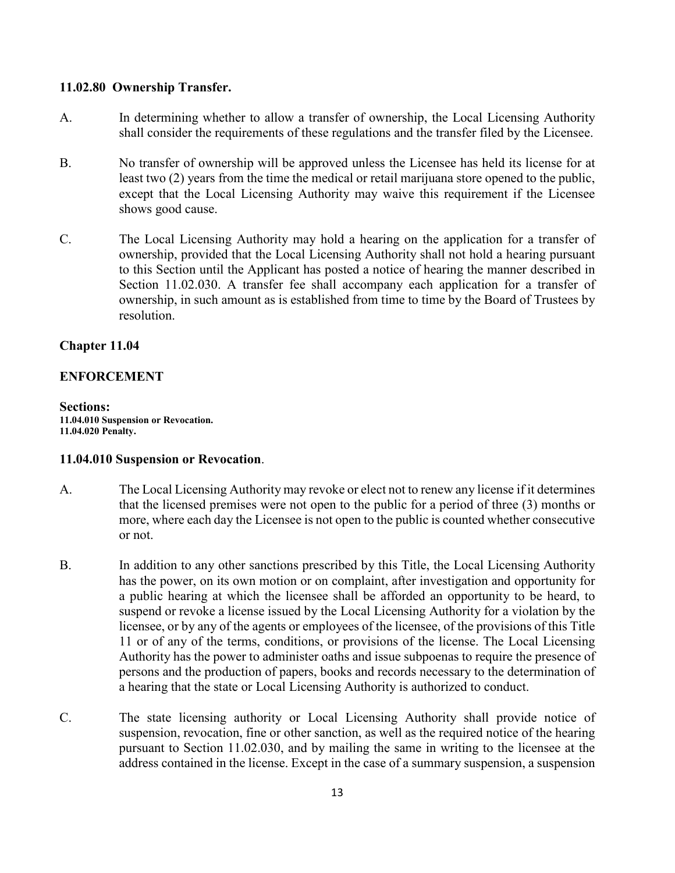## **11.02.80 Ownership Transfer.**

- A. In determining whether to allow a transfer of ownership, the Local Licensing Authority shall consider the requirements of these regulations and the transfer filed by the Licensee.
- B. No transfer of ownership will be approved unless the Licensee has held its license for at least two (2) years from the time the medical or retail marijuana store opened to the public, except that the Local Licensing Authority may waive this requirement if the Licensee shows good cause.
- C. The Local Licensing Authority may hold a hearing on the application for a transfer of ownership, provided that the Local Licensing Authority shall not hold a hearing pursuant to this Section until the Applicant has posted a notice of hearing the manner described in Section 11.02.030. A transfer fee shall accompany each application for a transfer of ownership, in such amount as is established from time to time by the Board of Trustees by resolution.

# **Chapter 11.04**

# **ENFORCEMENT**

**Sections: 11.04.010 Suspension or Revocation. 11.04.020 Penalty.**

## **11.04.010 Suspension or Revocation**.

- A. The Local Licensing Authority may revoke or elect not to renew any license if it determines that the licensed premises were not open to the public for a period of three (3) months or more, where each day the Licensee is not open to the public is counted whether consecutive or not.
- B. In addition to any other sanctions prescribed by this Title, the Local Licensing Authority has the power, on its own motion or on complaint, after investigation and opportunity for a public hearing at which the licensee shall be afforded an opportunity to be heard, to suspend or revoke a license issued by the Local Licensing Authority for a violation by the licensee, or by any of the agents or employees of the licensee, of the provisions of this Title 11 or of any of the terms, conditions, or provisions of the license. The Local Licensing Authority has the power to administer oaths and issue subpoenas to require the presence of persons and the production of papers, books and records necessary to the determination of a hearing that the state or Local Licensing Authority is authorized to conduct.
- C. The state licensing authority or Local Licensing Authority shall provide notice of suspension, revocation, fine or other sanction, as well as the required notice of the hearing pursuant to Section 11.02.030, and by mailing the same in writing to the licensee at the address contained in the license. Except in the case of a summary suspension, a suspension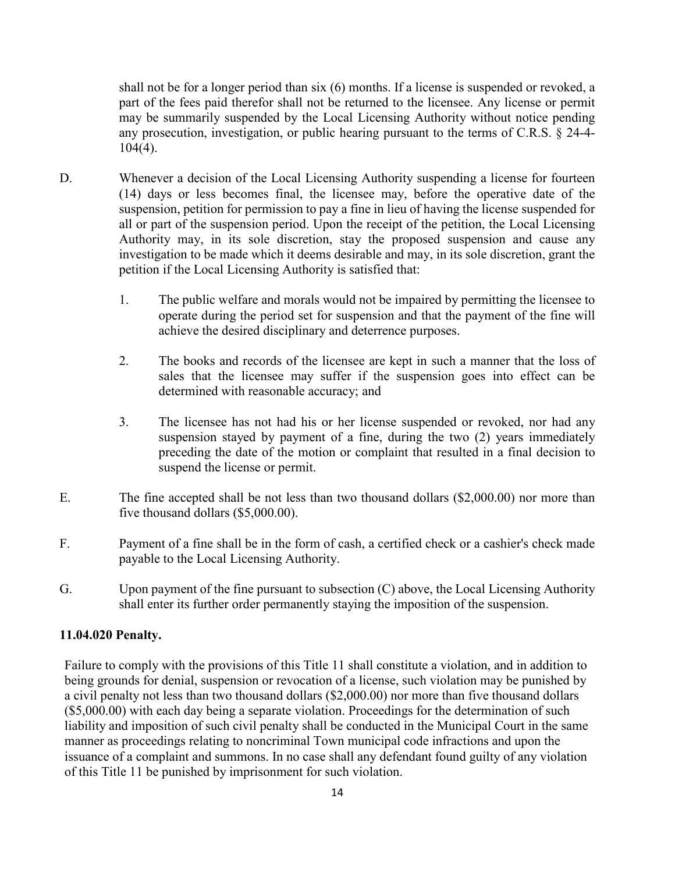shall not be for a longer period than six (6) months. If a license is suspended or revoked, a part of the fees paid therefor shall not be returned to the licensee. Any license or permit may be summarily suspended by the Local Licensing Authority without notice pending any prosecution, investigation, or public hearing pursuant to the terms of C.R.S. § 24-4- 104(4).

- D. Whenever a decision of the Local Licensing Authority suspending a license for fourteen (14) days or less becomes final, the licensee may, before the operative date of the suspension, petition for permission to pay a fine in lieu of having the license suspended for all or part of the suspension period. Upon the receipt of the petition, the Local Licensing Authority may, in its sole discretion, stay the proposed suspension and cause any investigation to be made which it deems desirable and may, in its sole discretion, grant the petition if the Local Licensing Authority is satisfied that:
	- 1. The public welfare and morals would not be impaired by permitting the licensee to operate during the period set for suspension and that the payment of the fine will achieve the desired disciplinary and deterrence purposes.
	- 2. The books and records of the licensee are kept in such a manner that the loss of sales that the licensee may suffer if the suspension goes into effect can be determined with reasonable accuracy; and
	- 3. The licensee has not had his or her license suspended or revoked, nor had any suspension stayed by payment of a fine, during the two (2) years immediately preceding the date of the motion or complaint that resulted in a final decision to suspend the license or permit.
- E. The fine accepted shall be not less than two thousand dollars (\$2,000.00) nor more than five thousand dollars (\$5,000.00).
- F. Payment of a fine shall be in the form of cash, a certified check or a cashier's check made payable to the Local Licensing Authority.
- G. Upon payment of the fine pursuant to subsection (C) above, the Local Licensing Authority shall enter its further order permanently staying the imposition of the suspension.

## **11.04.020 Penalty.**

Failure to comply with the provisions of this Title 11 shall constitute a violation, and in addition to being grounds for denial, suspension or revocation of a license, such violation may be punished by a civil penalty not less than two thousand dollars (\$2,000.00) nor more than five thousand dollars (\$5,000.00) with each day being a separate violation. Proceedings for the determination of such liability and imposition of such civil penalty shall be conducted in the Municipal Court in the same manner as proceedings relating to noncriminal Town municipal code infractions and upon the issuance of a complaint and summons. In no case shall any defendant found guilty of any violation of this Title 11 be punished by imprisonment for such violation.